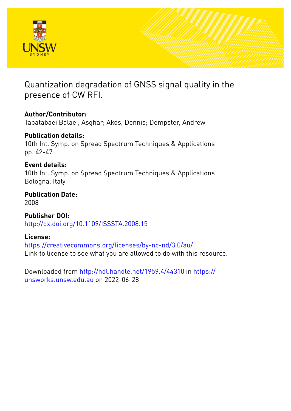

# Quantization degradation of GNSS signal quality in the presence of CW RFI.

# **Author/Contributor:**

Tabatabaei Balaei, Asghar; Akos, Dennis; Dempster, Andrew

# **Publication details:** 10th Int. Symp. on Spread Spectrum Techniques & Applications pp. 42-47

# **Event details:**

10th Int. Symp. on Spread Spectrum Techniques & Applications Bologna, Italy

## **Publication Date:** 2008

**Publisher DOI:** [http://dx.doi.org/10.1109/ISSSTA.2008.15](http://dx.doi.org/http://dx.doi.org/10.1109/ISSSTA.2008.15)

# **License:**

<https://creativecommons.org/licenses/by-nc-nd/3.0/au/> Link to license to see what you are allowed to do with this resource.

Downloaded from <http://hdl.handle.net/1959.4/44310> in [https://](https://unsworks.unsw.edu.au) [unsworks.unsw.edu.au](https://unsworks.unsw.edu.au) on 2022-06-28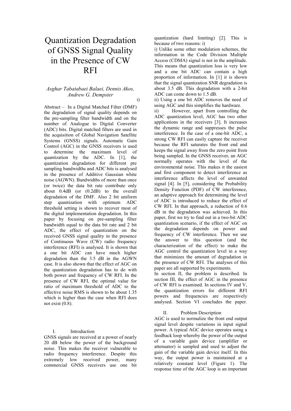# Quantization Degradation of GNSS Signal Quality in the Presence of CW **RFI**

### Asghar Tabatabaei Balaei, Dennis Akos, Andrew G. Dempster

Abstract – In a Digital Matched Filter (DMF) the degradation of signal quality depends on the pre-sampling filter bandwidth and on the number of Analogue to Digital Converter (ADC) bits. Digital matched filters are used in the acquisition of Global Navigation Satellite Systems (GNSS) signals. Automatic Gain Control (AGC) in the GNSS receivers is used to determine the maximum level of quantization by the ADC. In [1], the quantization degradation for different pre sampling bandwidths and ADC bits is analysed in the presence of Additive Gaussian white noise (AGWN). Bandwidths of more than once (or twice) the data bit rate contribute only about 0.4dB (or (0.2dB) to the overall degradation of the DMF. Also 2 bit uniform step quantization with optimum ADC threshold setting is shown to recover most of the digital implementation degradation. In this paper by focusing on pre-sampling filter bandwidth equal to the data bit rate and 2 bit ADC, the effect of quantization on the received GNSS signal quality in the presence of Continuous Wave (CW) radio frequency interference (RFI) is analysed. It is shown that a one bit ADC can have much higher degradation than the 3.5 dB in the AGWN case. It is also shown that the effect of AGC on the quantization degradation has to do with both power and frequency of CW RFI. In the presence of CW RFI, the optimal value for ratio of maximum threshold of ADC to the effective noise RMS is shown to be about 1.35 which is higher than the case when RFI does not exist  $(0.8)$ .

### I. Introduction

GNSS signals are received at a power of nearly 20 dB below the power of the background noise. This makes the receiver vulnerable to radio frequency interference. Despite this extremely low received power, many commercial GNSS receivers use one bit quantization (hard limiting) [2]. This is because of two reasons: i)

i) Unlike some other modulation schemes, the information in the Code Division Multiple Access (CDMA) signal is not in the amplitude. This means that quantization loss is very low and a one bit ADC can contain a high proportion of information. In [1] it is shown that the signal quantization SNR degradation is about 3.5 dB. This degradation with a 2-bit ADC can come down to 1.5 dB.

i) ii) Using a one bit ADC removes the need of using AGC and this simplifies the hardware.

> ii) However, apart from controlling the ADC quantization level, AGC has two other applications in the receivers [3]. It increases the dynamic range and suppresses the pulse interference. In the case of a one-bit ADC, a strong CW RFI can easily capture the receiver because the RFI saturates the front end and keeps the signal away from the zero point from being sampled. In the GNSS receiver, an AGC normally operates with the level of the environmental noise. This makes it the easiest and first component to detect interference as interference affects the level of unwanted signal [4]. In [5], considering the Probability Density Function (PDF) of CW interference, an adaptive approach for determining the level of ADC is introduced to reduce the effect of CW RFI. In that approach, a reduction of 0.6 dB in the degradation was achieved. In this paper, first we try to find out in a two-bit ADC quantization scenario, if the effect of AGC on the degradation depends on power and frequency of CW interference. Then we use the answer to this question (and the characterization of the effect) to make the AGC control the quantization level in a way that minimizes the amount of degradation in the presence of CW RFI. The analyses of this paper are all supported by experiments.

> In section II, the problem is described. In section III, the effect of AGC in the presence of CW RFI is examined. In sections IV and V, the quantization errors for different RFI powers and frequencies are respectively analysed. Section VI concludes the paper.

### II. Problem Description

AGC is used to normalize the front end output signal level despite variations in input signal power. A typical AGC device operates using a feedback loop whereby the power of the output of a variable gain device (amplifier or attenuator) is sampled and used to adjust the gain of the variable gain device itself. In this way, the output power is maintained at a relatively constant level (Figure 1). The response time of the AGC loop is an important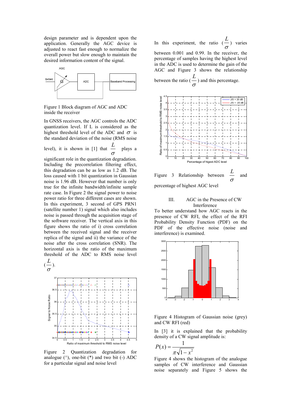design parameter and is dependent upon the application. Generally the AGC device is adjusted to react fast enough to normalize the overall power but slow enough to maintain the desired information content of the signal.



Figure 1 Block diagram of AGC and ADC inside the receiver

In GNSS receivers, the AGC controls the ADC quantization level. If L is considered as the highest threshold level of the ADC and  $\sigma$  is the standard deviation of the noise (RMS noise

level), it is shown in [1] that  $\frac{-}{\sigma}$  $L$  plays a

significant role in the quantization degradation. Including the precorrelation filtering effect, this degradation can be as low as 1.2 dB. The loss caused with 1 bit quantization in Gaussian noise is 1.96 dB. However that number is only true for the infinite bandwidth/infinite sample rate case. In Figure 2 the signal power to noise power ratio for three different cases are shown. In this experiment, 3 second of GPS PRN1 (satellite number 1) signal which also includes noise is passed through the acquisition stage of the software receiver. The vertical axis in this figure shows the ratio of i) cross correlation between the received signal and the receiver replica of the signal and ii) the variance of the

noise after the cross correlation (SNR). The horizontal axis is the ratio of the maximum



Figure 2 Quantization degradation for analogue  $(^\wedge)$ , one-bit  $(*)$  and two bit  $(-)$  ADC for a particular signal and noise level

In this experiment, the ratio  $\left(\frac{\pi}{\sigma}\right)$  $\frac{L}{L}$ ) varies between 0.001 and 0.99. In the receiver, the percentage of samples having the highest level in the ADC is used to determine the gain of the AGC and Figure 3 shows the relationship  $\frac{L}{L}$ ) and this percentage.

between the ratio ( $\frac{\pi}{\sigma}$ 



### III. AGC in the Presence of CW Interference

To better understand how AGC reacts in the presence of CW RFI, the effect of the RFI Probability Density Function (PDF) on the PDF of the effective noise (noise and interference) is examined.



Figure 4 Histogram of Gaussian noise (grey) and CW RFI (red)

In [3] it is explained that the probability density of a CW signal amplitude is:

$$
P(x) = \frac{1}{\pi\sqrt{1-x^2}}
$$

Figure 4 shows the histogram of the analogue samples of CW interference and Gaussian noise separately and Figure 5 shows the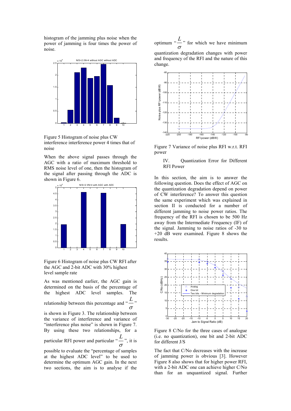histogram of the jamming plus noise when the power of jamming is four times the power of noise.



Figure 5 Histogram of noise plus CW interference interference power 4 times that of noise

When the above signal passes through the AGC with a ratio of maximum threshold to RMS noise level of one, then the histogram of the signal after passing through the ADC is shown in Figure 6.



Figure 6 Histogram of noise plus CW RFI after the AGC and 2-bit ADC with 30% highest level sample rate

As was mentioned earlier, the AGC gain is determined on the basis of the percentage of the highest ADC level samples. The relationship between this percentage and " $\frac{1}{\sigma}$  $\frac{L}{\cdot}$ is shown in Figure 3. The relationship between the variance of interference and variance of "interference plus noise" is shown in Figure 7. By using these two relationships, for a particular RFI power and particular " $\frac{L}{m}$ ", it is σ possible to evaluate the "percentage of samples at the highest ADC level" to be used to

determine the optimum AGC gain. In the next two sections, the aim is to analyse if the

optimum " $\frac{L}{m}$ " for which we have minimum σ quantization degradation changes with power and frequency of the RFI and the nature of this change.



Figure 7 Variance of noise plus RFI w.r.t. RFI power

### IV. Quantization Error for Different RFI Power

In this section, the aim is to answer the following question. Does the effect of AGC on the quantization degradation depend on power of CW interference? To answer this question the same experiment which was explained in section II is conducted for a number of different jamming to noise power ratios. The frequency of the RFI is chosen to be 500 Hz away from the Intermediate Frequency (IF) of the signal. Jamming to noise ratios of -30 to +20 dB were examined. Figure 8 shows the results.



Figure 8 C/No for the three cases of analogue (i.e. no quantization), one bit and 2-bit ADC for different J/S

The fact that C/No decreases with the increase of jamming power is obvious [3]. However Figure 8 also shows that for higher power RFI, with a 2-bit ADC one can achieve higher C/No than for an unquantized signal. Further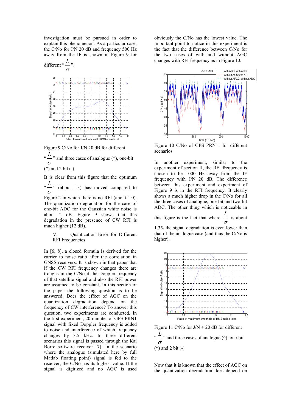investigation must be pursued in order to explain this phenomenon. As a particular case, the C/No for J/N 20 dB and frequency 500 Hz away from the IF is shown in Figure 9 for



Figure 9 C/No for J/N 20 dB for different

 $\tilde{\sigma}$  $L$   $\cdots$  and three cases of analogue ( $\land$ ), one-bit

(\*) and 2 bit (-)

It is clear from this figure that the optimum

 $\tilde{\phantom{a}}\overline{\phantom{a}}\phantom{a}$  $L$  " (about 1.3) has moved compared to

Figure 2 in which there is no RFI (about 1.0). The quantization degradation for the case of one-bit ADC for the Gaussian white noise is about 2 dB. Figure 9 shows that this degradation in the presence of CW RFI is much higher (12 dB).

### V. Quantization Error for Different RFI Frequencies

In [6, 8], a closed formula is derived for the carrier to noise ratio after the correlation in GNSS receivers. It is shown in that paper that if the CW RFI frequency changes there are troughs in the C/No if the Doppler frequency of that satellite signal and also the RFI power are assumed to be constant. In this section of the paper the following question is to be answered. Does the effect of AGC on the quantization degradation depend on the frequency of CW interference? To answer this question, two experiments are conducted. In the first experiment, 20 minutes of GPS PRN1 signal with fixed Doppler frequency is added to noise and interference of which frequency changes by 3.5 kHz. In three different scenarios this signal is passed through the Kai Borre software receiver [7]. In the scenario where the analogue (simulated here by full Matlab floating point) signal is fed to the receiver, the C/No has its highest value. If the signal is digitized and no AGC is used

obviously the C/No has the lowest value. The important point to notice in this experiment is the fact that the difference between C/No for the two cases of with and without AGC changes with RFI frequency as in Figure 10.



Figure 10 C/No of GPS PRN 1 for different scenarios

In another experiment, similar to the experiment of section II, the RFI frequency is chosen to be 1000 Hz away from the IF frequency with J/N 20 dB. The difference between this experiment and experiment of Figure 9 is in the RFI frequency. It clearly shows a much higher drop in the C/No for all the three cases of analogue, one-bit and two-bit ADC. The other thing which is noticeable in this figure is the fact that where  $-\frac{1}{\sigma}$  $\frac{L}{\ }$  is about 1.35, the signal degradation is even lower than that of the analogue case (and thus the C/No is



Figure 11 C/No for  $J/N + 20$  dB for different  $\tilde{\sigma}$  $L$   $\cdots$  and three cases of analogue ( $\degree$ ), one-bit  $(*)$  and 2 bit  $(-)$ 

Ratio of maximum threshold to RMS noise level

Now that it is known that the effect of AGC on the quantization degradation does depend on